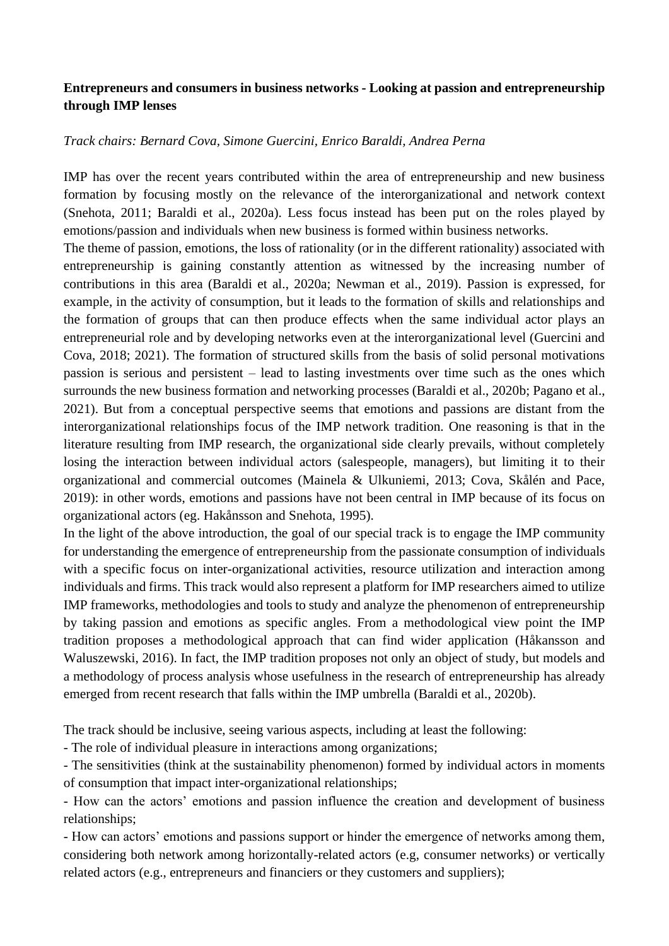## **Entrepreneurs and consumers in business networks - Looking at passion and entrepreneurship through IMP lenses**

## *Track chairs: Bernard Cova, Simone Guercini, Enrico Baraldi, Andrea Perna*

IMP has over the recent years contributed within the area of entrepreneurship and new business formation by focusing mostly on the relevance of the interorganizational and network context (Snehota, 2011; Baraldi et al., 2020a). Less focus instead has been put on the roles played by emotions/passion and individuals when new business is formed within business networks.

The theme of passion, emotions, the loss of rationality (or in the different rationality) associated with entrepreneurship is gaining constantly attention as witnessed by the increasing number of contributions in this area (Baraldi et al., 2020a; Newman et al., 2019). Passion is expressed, for example, in the activity of consumption, but it leads to the formation of skills and relationships and the formation of groups that can then produce effects when the same individual actor plays an entrepreneurial role and by developing networks even at the interorganizational level (Guercini and Cova, 2018; 2021). The formation of structured skills from the basis of solid personal motivations passion is serious and persistent – lead to lasting investments over time such as the ones which surrounds the new business formation and networking processes (Baraldi et al., 2020b; Pagano et al., 2021). But from a conceptual perspective seems that emotions and passions are distant from the interorganizational relationships focus of the IMP network tradition. One reasoning is that in the literature resulting from IMP research, the organizational side clearly prevails, without completely losing the interaction between individual actors (salespeople, managers), but limiting it to their organizational and commercial outcomes (Mainela & Ulkuniemi, 2013; Cova, Skålén and Pace, 2019): in other words, emotions and passions have not been central in IMP because of its focus on organizational actors (eg. Hakånsson and Snehota, 1995).

In the light of the above introduction, the goal of our special track is to engage the IMP community for understanding the emergence of entrepreneurship from the passionate consumption of individuals with a specific focus on inter-organizational activities, resource utilization and interaction among individuals and firms. This track would also represent a platform for IMP researchers aimed to utilize IMP frameworks, methodologies and tools to study and analyze the phenomenon of entrepreneurship by taking passion and emotions as specific angles. From a methodological view point the IMP tradition proposes a methodological approach that can find wider application (Håkansson and Waluszewski, 2016). In fact, the IMP tradition proposes not only an object of study, but models and a methodology of process analysis whose usefulness in the research of entrepreneurship has already emerged from recent research that falls within the IMP umbrella (Baraldi et al., 2020b).

The track should be inclusive, seeing various aspects, including at least the following:

- The role of individual pleasure in interactions among organizations;

- The sensitivities (think at the sustainability phenomenon) formed by individual actors in moments of consumption that impact inter-organizational relationships;

- How can the actors' emotions and passion influence the creation and development of business relationships;

- How can actors' emotions and passions support or hinder the emergence of networks among them, considering both network among horizontally-related actors (e.g, consumer networks) or vertically related actors (e.g., entrepreneurs and financiers or they customers and suppliers);